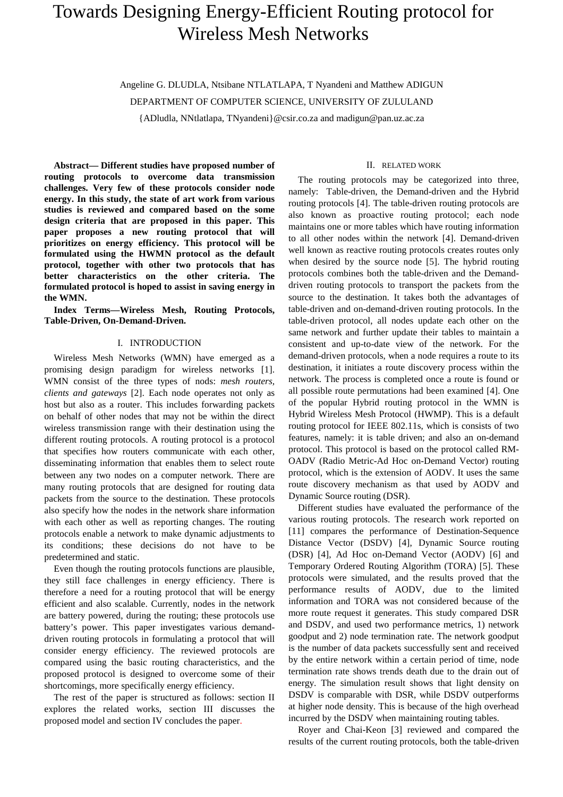# Towards Designing Energy-Efficient Routing protocol for Wireless Mesh Networks

Angeline G. DLUDLA, Ntsibane NTLATLAPA, T Nyandeni and Matthew ADIGUN DEPARTMENT OF COMPUTER SCIENCE, UNIVERSITY OF ZULULAND

{ADludla, NNtlatlapa, TNyandeni}@csir.co.za and madigun@pan.uz.ac.za

**Abstract— Different studies have proposed number of routing protocols to overcome data transmission challenges. Very few of these protocols consider node energy. In this study, the state of art work from various studies is reviewed and compared based on the some design criteria that are proposed in this paper. This paper proposes a new routing protocol that will prioritizes on energy efficiency. This protocol will be formulated using the HWMN protocol as the default protocol, together with other two protocols that has better characteristics on the other criteria. The formulated protocol is hoped to assist in saving energy in the WMN.** 

**Index Terms—Wireless Mesh, Routing Protocols, Table-Driven, On-Demand-Driven.** 

## I. INTRODUCTION

Wireless Mesh Networks (WMN) have emerged as a promising design paradigm for wireless networks [1]. WMN consist of the three types of nods: *mesh routers, clients and gateways* [2]. Each node operates not only as host but also as a router. This includes forwarding packets on behalf of other nodes that may not be within the direct wireless transmission range with their destination using the different routing protocols. A routing protocol is a protocol that specifies how routers communicate with each other, disseminating information that enables them to select route between any two nodes on a computer network. There are many routing protocols that are designed for routing data packets from the source to the destination. These protocols also specify how the nodes in the network share information with each other as well as reporting changes. The routing protocols enable a network to make dynamic adjustments to its conditions; these decisions do not have to be predetermined and static.

Even though the routing protocols functions are plausible, they still face challenges in energy efficiency. There is therefore a need for a routing protocol that will be energy efficient and also scalable. Currently, nodes in the network are battery powered, during the routing; these protocols use battery's power. This paper investigates various demanddriven routing protocols in formulating a protocol that will consider energy efficiency. The reviewed protocols are compared using the basic routing characteristics, and the proposed protocol is designed to overcome some of their shortcomings, more specifically energy efficiency.

The rest of the paper is structured as follows: section II explores the related works, section III discusses the proposed model and section IV concludes the paper.

## II. RELATED WORK

The routing protocols may be categorized into three, namely: Table-driven, the Demand-driven and the Hybrid routing protocols [4]. The table-driven routing protocols are also known as proactive routing protocol; each node maintains one or more tables which have routing information to all other nodes within the network [4]. Demand-driven well known as reactive routing protocols creates routes only when desired by the source node [5]. The hybrid routing protocols combines both the table-driven and the Demanddriven routing protocols to transport the packets from the source to the destination. It takes both the advantages of table-driven and on-demand-driven routing protocols. In the table-driven protocol, all nodes update each other on the same network and further update their tables to maintain a consistent and up-to-date view of the network. For the demand-driven protocols, when a node requires a route to its destination, it initiates a route discovery process within the network. The process is completed once a route is found or all possible route permutations had been examined [4]. One of the popular Hybrid routing protocol in the WMN is Hybrid Wireless Mesh Protocol (HWMP). This is a default routing protocol for IEEE 802.11s, which is consists of two features, namely: it is table driven; and also an on-demand protocol. This protocol is based on the protocol called RM-OADV (Radio Metric-Ad Hoc on-Demand Vector) routing protocol, which is the extension of AODV. It uses the same route discovery mechanism as that used by AODV and Dynamic Source routing (DSR).

Different studies have evaluated the performance of the various routing protocols. The research work reported on [11] compares the performance of Destination-Sequence Distance Vector (DSDV) [4], Dynamic Source routing (DSR) [4], Ad Hoc on-Demand Vector (AODV) [6] and Temporary Ordered Routing Algorithm (TORA) [5]. These protocols were simulated, and the results proved that the performance results of AODV, due to the limited information and TORA was not considered because of the more route request it generates. This study compared DSR and DSDV, and used two performance metrics, 1) network goodput and 2) node termination rate. The network goodput is the number of data packets successfully sent and received by the entire network within a certain period of time, node termination rate shows trends death due to the drain out of energy. The simulation result shows that light density on DSDV is comparable with DSR, while DSDV outperforms at higher node density. This is because of the high overhead incurred by the DSDV when maintaining routing tables.

Royer and Chai-Keon [3] reviewed and compared the results of the current routing protocols, both the table-driven